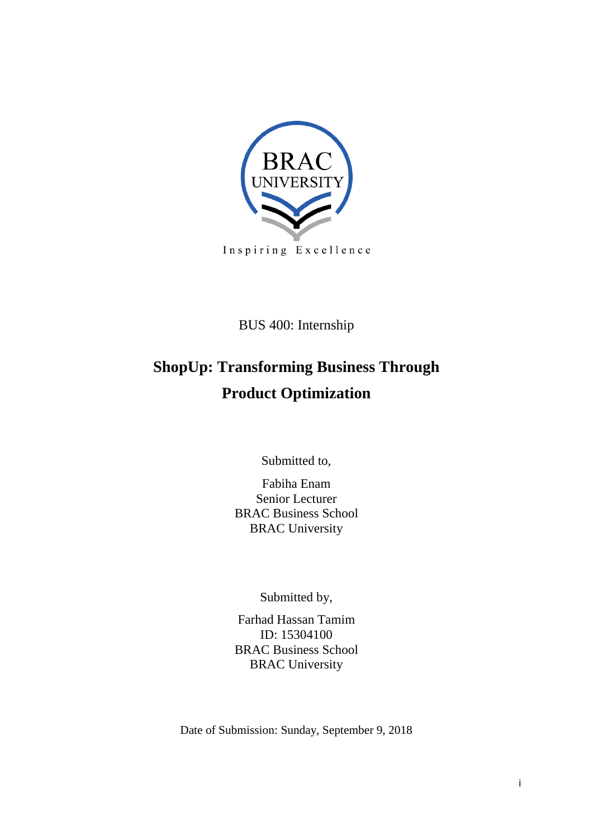

BUS 400: Internship

# **ShopUp: Transforming Business Through Product Optimization**

Submitted to,

Fabiha Enam Senior Lecturer BRAC Business School BRAC University

Submitted by,

Farhad Hassan Tamim ID: 15304100 BRAC Business School BRAC University

Date of Submission: Sunday, September 9, 2018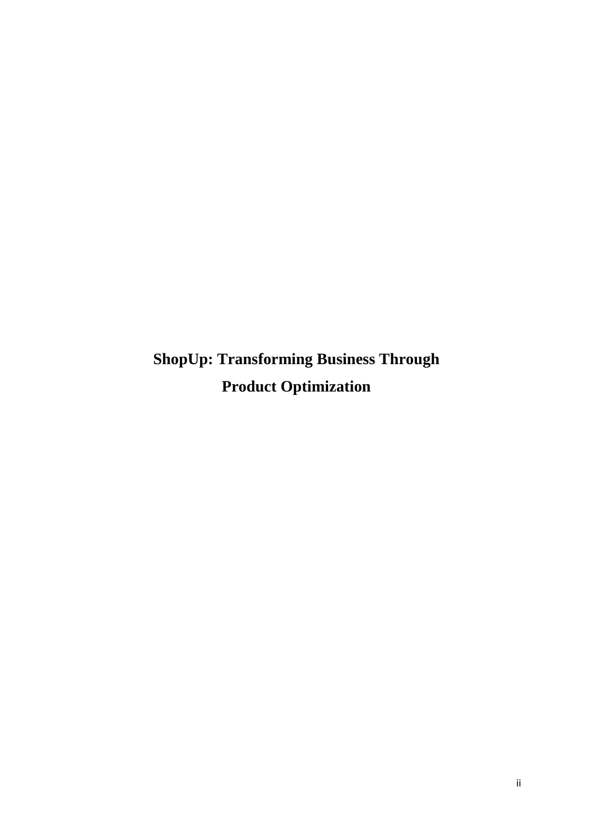**ShopUp: Transforming Business Through Product Optimization**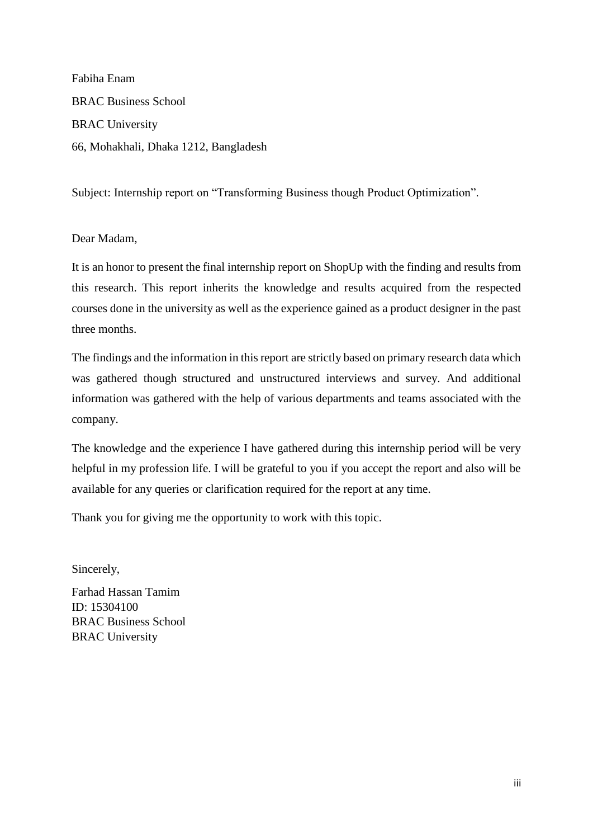Fabiha Enam BRAC Business School BRAC University 66, Mohakhali, Dhaka 1212, Bangladesh

Subject: Internship report on "Transforming Business though Product Optimization".

#### Dear Madam,

It is an honor to present the final internship report on ShopUp with the finding and results from this research. This report inherits the knowledge and results acquired from the respected courses done in the university as well as the experience gained as a product designer in the past three months.

The findings and the information in this report are strictly based on primary research data which was gathered though structured and unstructured interviews and survey. And additional information was gathered with the help of various departments and teams associated with the company.

The knowledge and the experience I have gathered during this internship period will be very helpful in my profession life. I will be grateful to you if you accept the report and also will be available for any queries or clarification required for the report at any time.

Thank you for giving me the opportunity to work with this topic.

Sincerely,

Farhad Hassan Tamim ID: 15304100 BRAC Business School BRAC University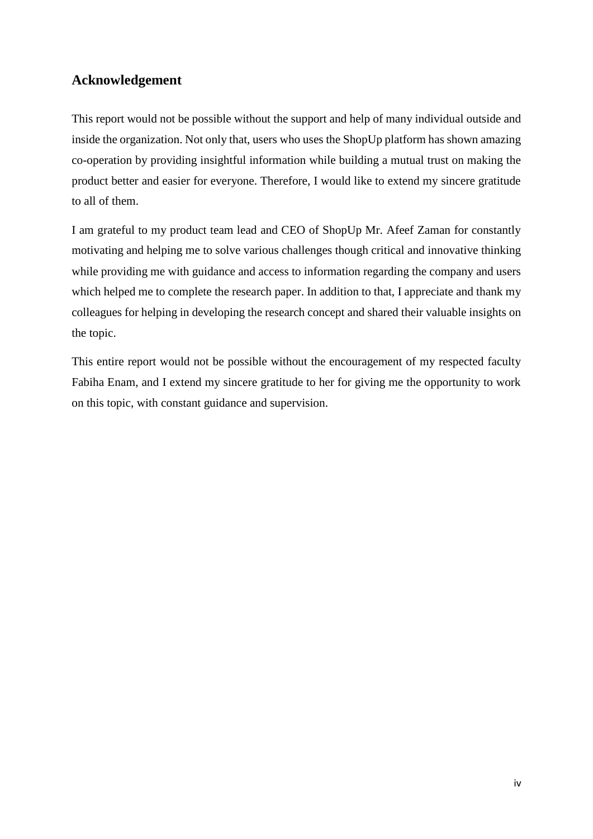# **Acknowledgement**

This report would not be possible without the support and help of many individual outside and inside the organization. Not only that, users who uses the ShopUp platform has shown amazing co-operation by providing insightful information while building a mutual trust on making the product better and easier for everyone. Therefore, I would like to extend my sincere gratitude to all of them.

I am grateful to my product team lead and CEO of ShopUp Mr. Afeef Zaman for constantly motivating and helping me to solve various challenges though critical and innovative thinking while providing me with guidance and access to information regarding the company and users which helped me to complete the research paper. In addition to that, I appreciate and thank my colleagues for helping in developing the research concept and shared their valuable insights on the topic.

This entire report would not be possible without the encouragement of my respected faculty Fabiha Enam, and I extend my sincere gratitude to her for giving me the opportunity to work on this topic, with constant guidance and supervision.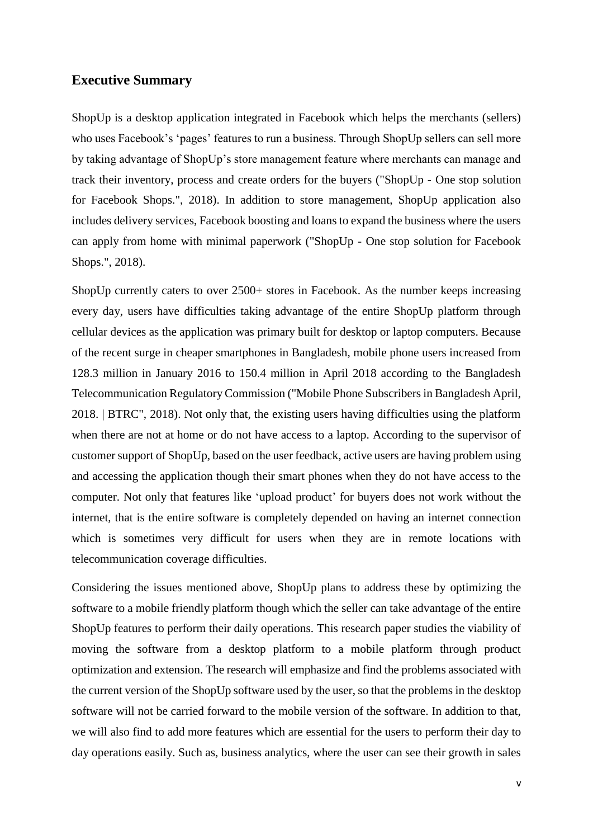#### **Executive Summary**

ShopUp is a desktop application integrated in Facebook which helps the merchants (sellers) who uses Facebook's 'pages' features to run a business. Through ShopUp sellers can sell more by taking advantage of ShopUp's store management feature where merchants can manage and track their inventory, process and create orders for the buyers ("ShopUp - One stop solution for Facebook Shops.", 2018). In addition to store management, ShopUp application also includes delivery services, Facebook boosting and loans to expand the business where the users can apply from home with minimal paperwork ("ShopUp - One stop solution for Facebook Shops.", 2018).

ShopUp currently caters to over 2500+ stores in Facebook. As the number keeps increasing every day, users have difficulties taking advantage of the entire ShopUp platform through cellular devices as the application was primary built for desktop or laptop computers. Because of the recent surge in cheaper smartphones in Bangladesh, mobile phone users increased from 128.3 million in January 2016 to 150.4 million in April 2018 according to the Bangladesh Telecommunication Regulatory Commission ("Mobile Phone Subscribers in Bangladesh April, 2018. | BTRC", 2018). Not only that, the existing users having difficulties using the platform when there are not at home or do not have access to a laptop. According to the supervisor of customer support of ShopUp, based on the user feedback, active users are having problem using and accessing the application though their smart phones when they do not have access to the computer. Not only that features like 'upload product' for buyers does not work without the internet, that is the entire software is completely depended on having an internet connection which is sometimes very difficult for users when they are in remote locations with telecommunication coverage difficulties.

Considering the issues mentioned above, ShopUp plans to address these by optimizing the software to a mobile friendly platform though which the seller can take advantage of the entire ShopUp features to perform their daily operations. This research paper studies the viability of moving the software from a desktop platform to a mobile platform through product optimization and extension. The research will emphasize and find the problems associated with the current version of the ShopUp software used by the user, so that the problems in the desktop software will not be carried forward to the mobile version of the software. In addition to that, we will also find to add more features which are essential for the users to perform their day to day operations easily. Such as, business analytics, where the user can see their growth in sales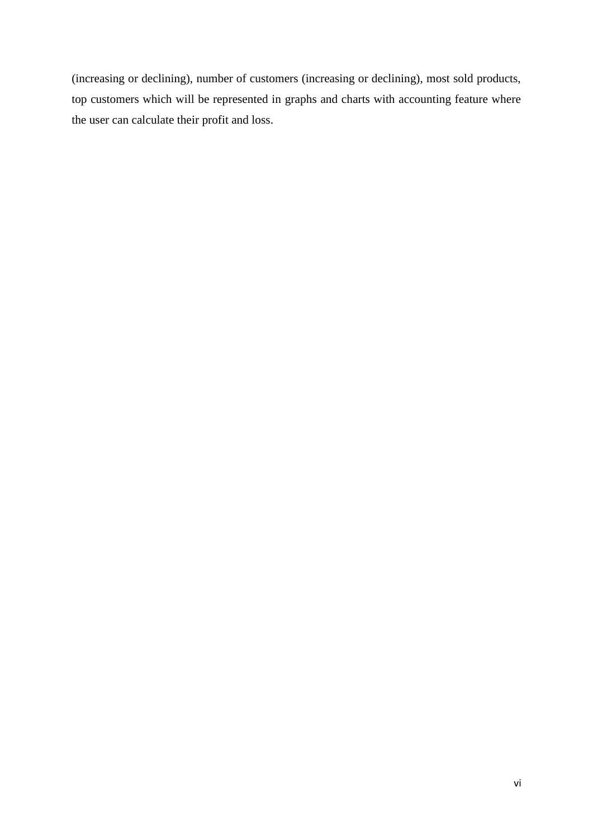(increasing or declining), number of customers (increasing or declining), most sold products, top customers which will be represented in graphs and charts with accounting feature where the user can calculate their profit and loss.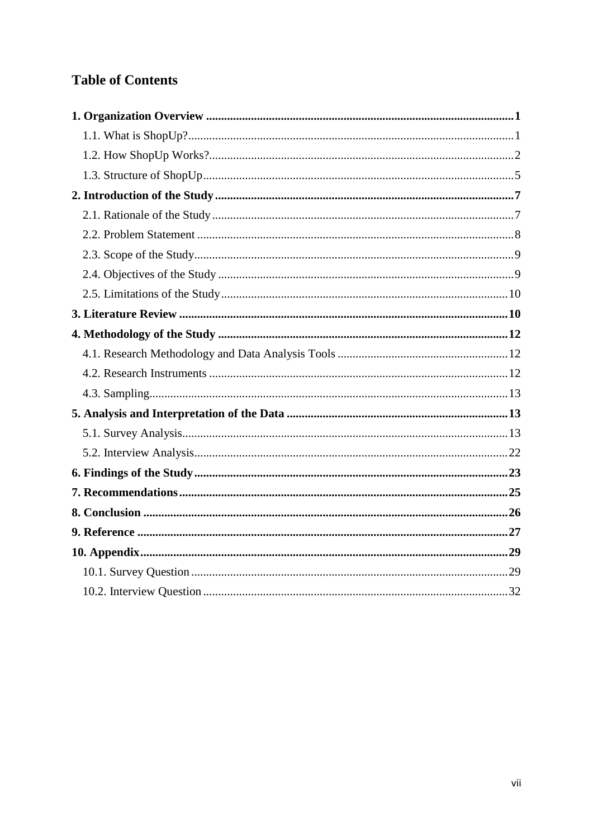# **Table of Contents**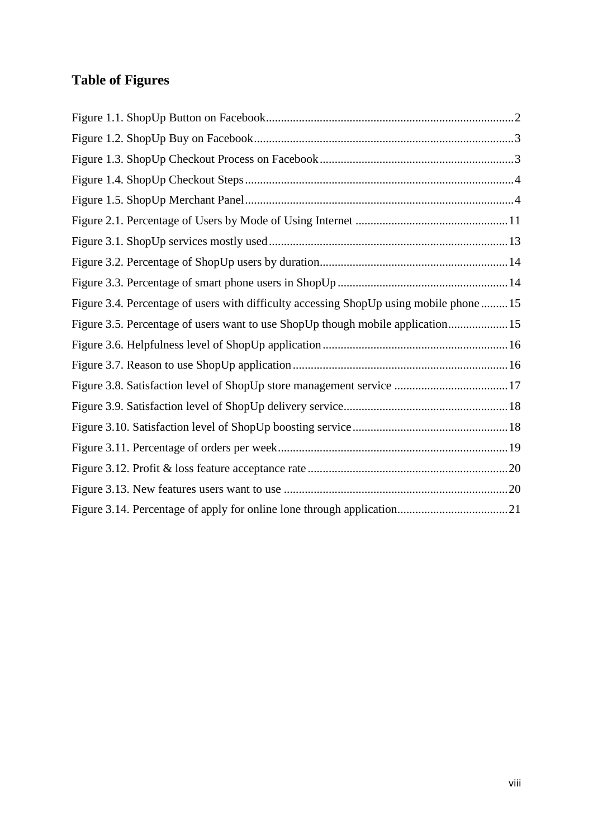# **Table of Figures**

| Figure 3.4. Percentage of users with difficulty accessing ShopUp using mobile phone 15 |  |
|----------------------------------------------------------------------------------------|--|
| Figure 3.5. Percentage of users want to use ShopUp though mobile application15         |  |
|                                                                                        |  |
|                                                                                        |  |
|                                                                                        |  |
|                                                                                        |  |
|                                                                                        |  |
|                                                                                        |  |
|                                                                                        |  |
|                                                                                        |  |
|                                                                                        |  |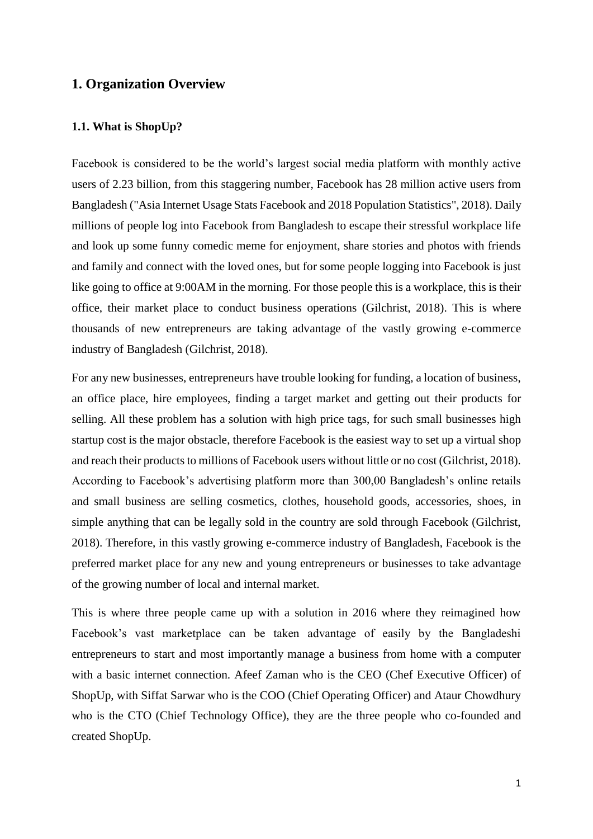## <span id="page-8-0"></span>**1. Organization Overview**

#### <span id="page-8-1"></span>**1.1. What is ShopUp?**

Facebook is considered to be the world's largest social media platform with monthly active users of 2.23 billion, from this staggering number, Facebook has 28 million active users from Bangladesh ("Asia Internet Usage Stats Facebook and 2018 Population Statistics", 2018). Daily millions of people log into Facebook from Bangladesh to escape their stressful workplace life and look up some funny comedic meme for enjoyment, share stories and photos with friends and family and connect with the loved ones, but for some people logging into Facebook is just like going to office at 9:00AM in the morning. For those people this is a workplace, this is their office, their market place to conduct business operations (Gilchrist, 2018). This is where thousands of new entrepreneurs are taking advantage of the vastly growing e-commerce industry of Bangladesh (Gilchrist, 2018).

For any new businesses, entrepreneurs have trouble looking for funding, a location of business, an office place, hire employees, finding a target market and getting out their products for selling. All these problem has a solution with high price tags, for such small businesses high startup cost is the major obstacle, therefore Facebook is the easiest way to set up a virtual shop and reach their products to millions of Facebook users without little or no cost (Gilchrist, 2018). According to Facebook's advertising platform more than 300,00 Bangladesh's online retails and small business are selling cosmetics, clothes, household goods, accessories, shoes, in simple anything that can be legally sold in the country are sold through Facebook (Gilchrist, 2018). Therefore, in this vastly growing e-commerce industry of Bangladesh, Facebook is the preferred market place for any new and young entrepreneurs or businesses to take advantage of the growing number of local and internal market.

This is where three people came up with a solution in 2016 where they reimagined how Facebook's vast marketplace can be taken advantage of easily by the Bangladeshi entrepreneurs to start and most importantly manage a business from home with a computer with a basic internet connection. Afeef Zaman who is the CEO (Chef Executive Officer) of ShopUp, with Siffat Sarwar who is the COO (Chief Operating Officer) and Ataur Chowdhury who is the CTO (Chief Technology Office), they are the three people who co-founded and created ShopUp.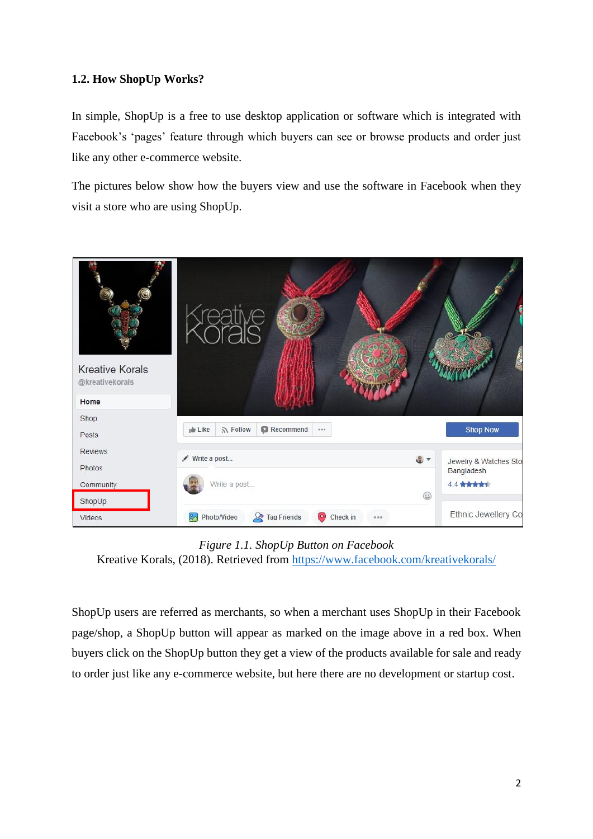## <span id="page-9-0"></span>**1.2. How ShopUp Works?**

In simple, ShopUp is a free to use desktop application or software which is integrated with Facebook's 'pages' feature through which buyers can see or browse products and order just like any other e-commerce website.

The pictures below show how the buyers view and use the software in Facebook when they visit a store who are using ShopUp.



*Figure 1.1. ShopUp Button on Facebook* Kreative Korals, (2018). Retrieved from<https://www.facebook.com/kreativekorals/>

<span id="page-9-1"></span>ShopUp users are referred as merchants, so when a merchant uses ShopUp in their Facebook page/shop, a ShopUp button will appear as marked on the image above in a red box. When buyers click on the ShopUp button they get a view of the products available for sale and ready to order just like any e-commerce website, but here there are no development or startup cost.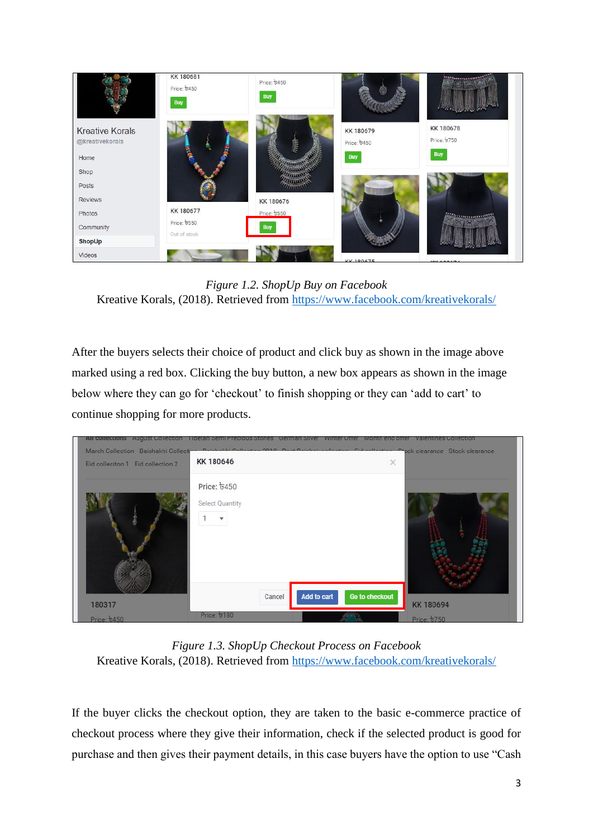

*Figure 1.2. ShopUp Buy on Facebook* Kreative Korals, (2018). Retrieved from<https://www.facebook.com/kreativekorals/>

<span id="page-10-0"></span>After the buyers selects their choice of product and click buy as shown in the image above marked using a red box. Clicking the buy button, a new box appears as shown in the image below where they can go for 'checkout' to finish shopping or they can 'add to cart' to continue shopping for more products.

| All corrections August Collection<br>March Collection Baishakhi Collecti-<br>Eid colleciton 1 Eid collection 2 | Theran Semi Precious Stones Comman Sliver Vinter Offer Month end offer Valentines Collection<br>$n - 1$<br>KK 180646 | Pulleding OB10 Deal Building<br><b>CONTRACTOR</b> | $-1$<br>$\times$ | Prock clearance Stock clearance |
|----------------------------------------------------------------------------------------------------------------|----------------------------------------------------------------------------------------------------------------------|---------------------------------------------------|------------------|---------------------------------|
|                                                                                                                | Price: 6450<br>Select Quantity                                                                                       |                                                   |                  |                                 |
| 180317                                                                                                         |                                                                                                                      | Add to cart<br>Cancel                             | Go to checkout   | KK 180694                       |
| Price: 6450                                                                                                    | Price: 5180                                                                                                          |                                                   |                  | Price: 6750                     |

<span id="page-10-1"></span>*Figure 1.3. ShopUp Checkout Process on Facebook* Kreative Korals, (2018). Retrieved from<https://www.facebook.com/kreativekorals/>

If the buyer clicks the checkout option, they are taken to the basic e-commerce practice of checkout process where they give their information, check if the selected product is good for purchase and then gives their payment details, in this case buyers have the option to use "Cash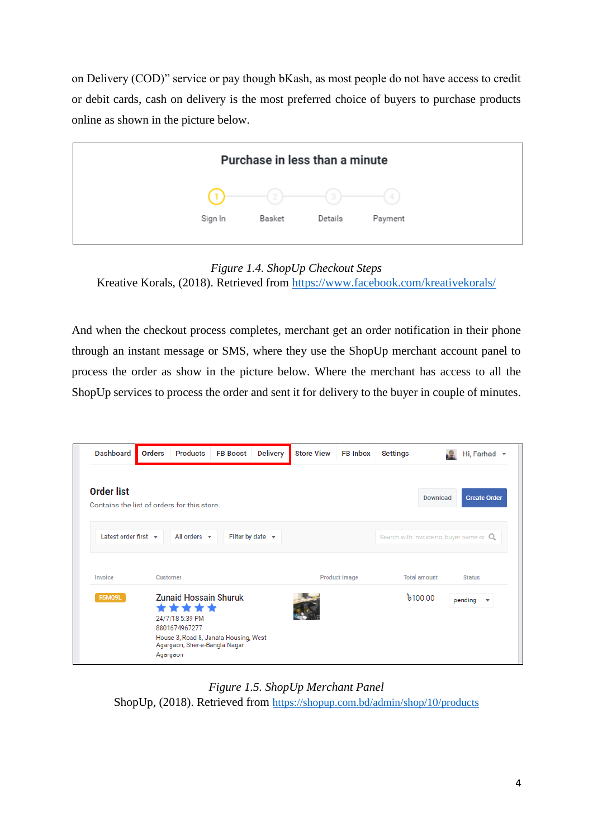on Delivery (COD)" service or pay though bKash, as most people do not have access to credit or debit cards, cash on delivery is the most preferred choice of buyers to purchase products online as shown in the picture below.

|         | Purchase in less than a minute |         |         |
|---------|--------------------------------|---------|---------|
| (1)     | $(2)$ —                        | (3)     | 4       |
| Sign In | Basket                         | Details | Payment |

*Figure 1.4. ShopUp Checkout Steps*

<span id="page-11-0"></span>Kreative Korals, (2018). Retrieved from<https://www.facebook.com/kreativekorals/>

And when the checkout process completes, merchant get an order notification in their phone through an instant message or SMS, where they use the ShopUp merchant account panel to process the order as show in the picture below. Where the merchant has access to all the ShopUp services to process the order and sent it for delivery to the buyer in couple of minutes.

| <b>Dashboard</b>                                                 | <b>Orders</b> | <b>Products</b>                                                                                                                                                 | <b>FB Boost</b> | <b>Delivery</b>           | <b>Store View</b> | <b>FB Inbox</b>      | <b>Settings</b>                           | -52      | Hi, Farhad $\sqrt{}$               |  |
|------------------------------------------------------------------|---------------|-----------------------------------------------------------------------------------------------------------------------------------------------------------------|-----------------|---------------------------|-------------------|----------------------|-------------------------------------------|----------|------------------------------------|--|
| <b>Order list</b><br>Contains the list of orders for this store. |               |                                                                                                                                                                 |                 |                           |                   |                      |                                           | Download | <b>Create Order</b>                |  |
| Latest order first $\mathbf{\mathbf{v}}$                         |               | All orders $\mathbf{\overline{v}}$                                                                                                                              |                 | Filter by date $\sqrt{ }$ |                   |                      | Search with Invoice no, buyer name or $Q$ |          |                                    |  |
| Invoice                                                          |               | <b>Customer</b>                                                                                                                                                 |                 |                           |                   | <b>Product image</b> | <b>Total amount</b>                       |          | <b>Status</b>                      |  |
| R5MQ9L                                                           |               | <b>Zunaid Hossain Shuruk</b><br>*****<br>24/7/18 5:39 PM<br>8801674967277<br>House 3, Road 8, Janata Housing, West<br>Agargaon, Sher-e-Bangla Nagar<br>Agargaon |                 |                           |                   |                      | $\frac{1}{2}100.00$                       |          | pending<br>$\overline{\mathbf{v}}$ |  |

<span id="page-11-1"></span>*Figure 1.5. ShopUp Merchant Panel* ShopUp, (2018). Retrieved from <https://shopup.com.bd/admin/shop/10/products>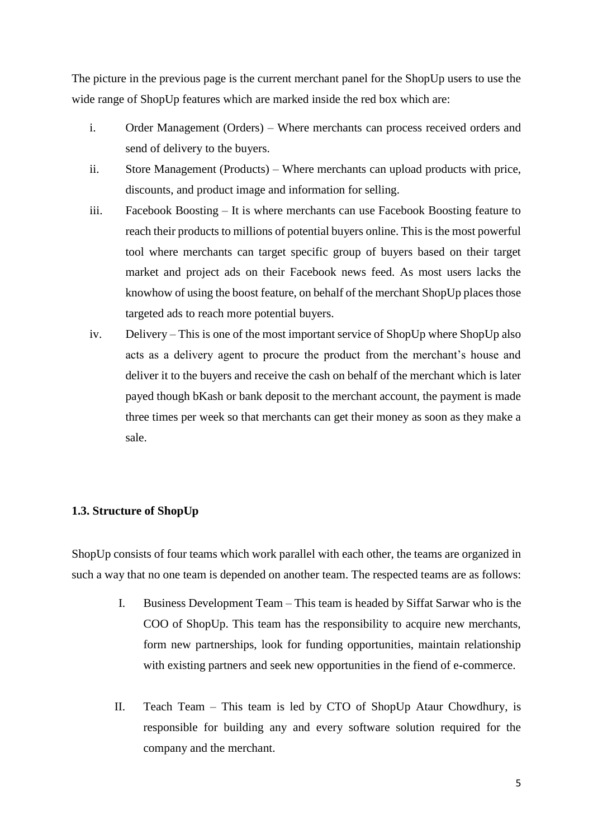The picture in the previous page is the current merchant panel for the ShopUp users to use the wide range of ShopUp features which are marked inside the red box which are:

- i. Order Management (Orders) Where merchants can process received orders and send of delivery to the buyers.
- ii. Store Management (Products) Where merchants can upload products with price, discounts, and product image and information for selling.
- iii. Facebook Boosting It is where merchants can use Facebook Boosting feature to reach their products to millions of potential buyers online. This is the most powerful tool where merchants can target specific group of buyers based on their target market and project ads on their Facebook news feed. As most users lacks the knowhow of using the boost feature, on behalf of the merchant ShopUp places those targeted ads to reach more potential buyers.
- iv. Delivery This is one of the most important service of ShopUp where ShopUp also acts as a delivery agent to procure the product from the merchant's house and deliver it to the buyers and receive the cash on behalf of the merchant which is later payed though bKash or bank deposit to the merchant account, the payment is made three times per week so that merchants can get their money as soon as they make a sale.

#### <span id="page-12-0"></span>**1.3. Structure of ShopUp**

ShopUp consists of four teams which work parallel with each other, the teams are organized in such a way that no one team is depended on another team. The respected teams are as follows:

- I. Business Development Team This team is headed by Siffat Sarwar who is the COO of ShopUp. This team has the responsibility to acquire new merchants, form new partnerships, look for funding opportunities, maintain relationship with existing partners and seek new opportunities in the fiend of e-commerce.
- II. Teach Team This team is led by CTO of ShopUp Ataur Chowdhury, is responsible for building any and every software solution required for the company and the merchant.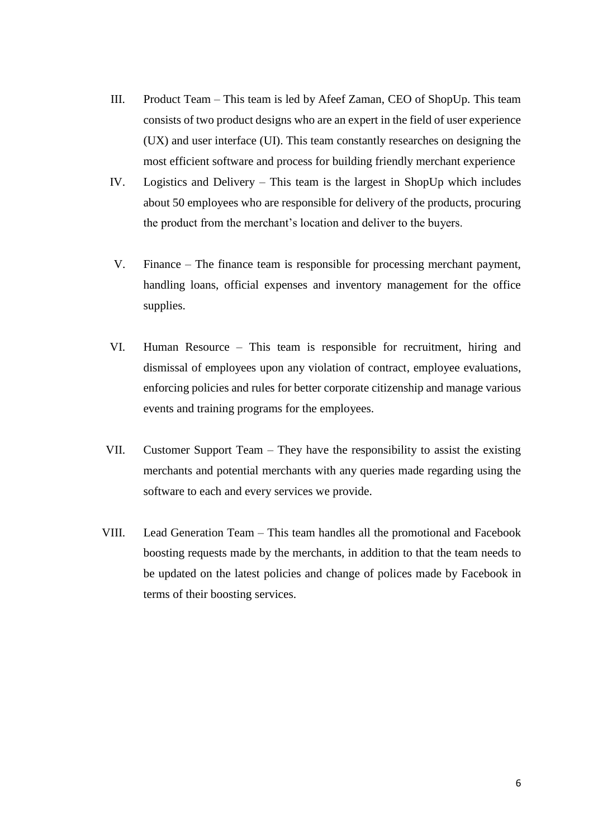- III. Product Team This team is led by Afeef Zaman, CEO of ShopUp. This team consists of two product designs who are an expert in the field of user experience (UX) and user interface (UI). This team constantly researches on designing the most efficient software and process for building friendly merchant experience
- IV. Logistics and Delivery This team is the largest in ShopUp which includes about 50 employees who are responsible for delivery of the products, procuring the product from the merchant's location and deliver to the buyers.
- V. Finance The finance team is responsible for processing merchant payment, handling loans, official expenses and inventory management for the office supplies.
- VI. Human Resource This team is responsible for recruitment, hiring and dismissal of employees upon any violation of contract, employee evaluations, enforcing policies and rules for better corporate citizenship and manage various events and training programs for the employees.
- VII. Customer Support Team They have the responsibility to assist the existing merchants and potential merchants with any queries made regarding using the software to each and every services we provide.
- VIII. Lead Generation Team This team handles all the promotional and Facebook boosting requests made by the merchants, in addition to that the team needs to be updated on the latest policies and change of polices made by Facebook in terms of their boosting services.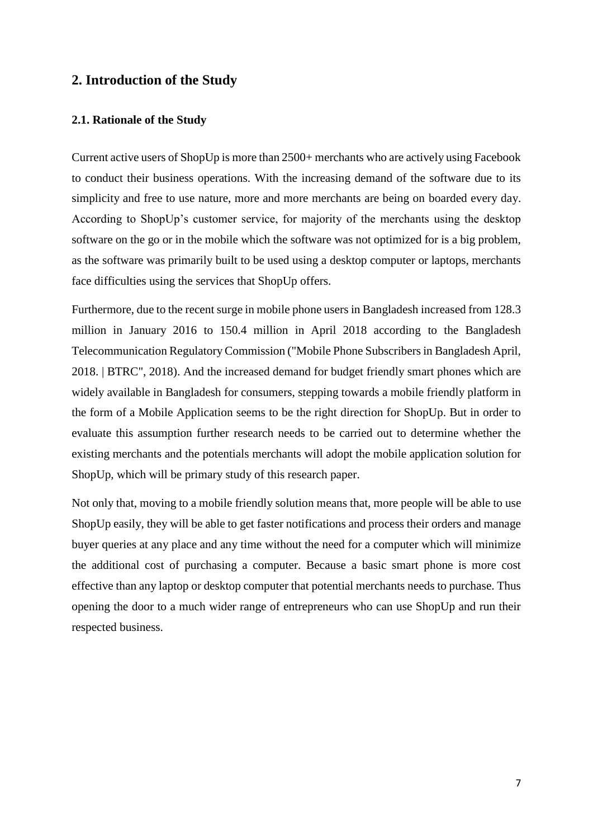# <span id="page-14-0"></span>**2. Introduction of the Study**

#### <span id="page-14-1"></span>**2.1. Rationale of the Study**

Current active users of ShopUp is more than 2500+ merchants who are actively using Facebook to conduct their business operations. With the increasing demand of the software due to its simplicity and free to use nature, more and more merchants are being on boarded every day. According to ShopUp's customer service, for majority of the merchants using the desktop software on the go or in the mobile which the software was not optimized for is a big problem, as the software was primarily built to be used using a desktop computer or laptops, merchants face difficulties using the services that ShopUp offers.

Furthermore, due to the recent surge in mobile phone users in Bangladesh increased from 128.3 million in January 2016 to 150.4 million in April 2018 according to the Bangladesh Telecommunication Regulatory Commission ("Mobile Phone Subscribers in Bangladesh April, 2018. | BTRC", 2018). And the increased demand for budget friendly smart phones which are widely available in Bangladesh for consumers, stepping towards a mobile friendly platform in the form of a Mobile Application seems to be the right direction for ShopUp. But in order to evaluate this assumption further research needs to be carried out to determine whether the existing merchants and the potentials merchants will adopt the mobile application solution for ShopUp, which will be primary study of this research paper.

Not only that, moving to a mobile friendly solution means that, more people will be able to use ShopUp easily, they will be able to get faster notifications and process their orders and manage buyer queries at any place and any time without the need for a computer which will minimize the additional cost of purchasing a computer. Because a basic smart phone is more cost effective than any laptop or desktop computer that potential merchants needs to purchase. Thus opening the door to a much wider range of entrepreneurs who can use ShopUp and run their respected business.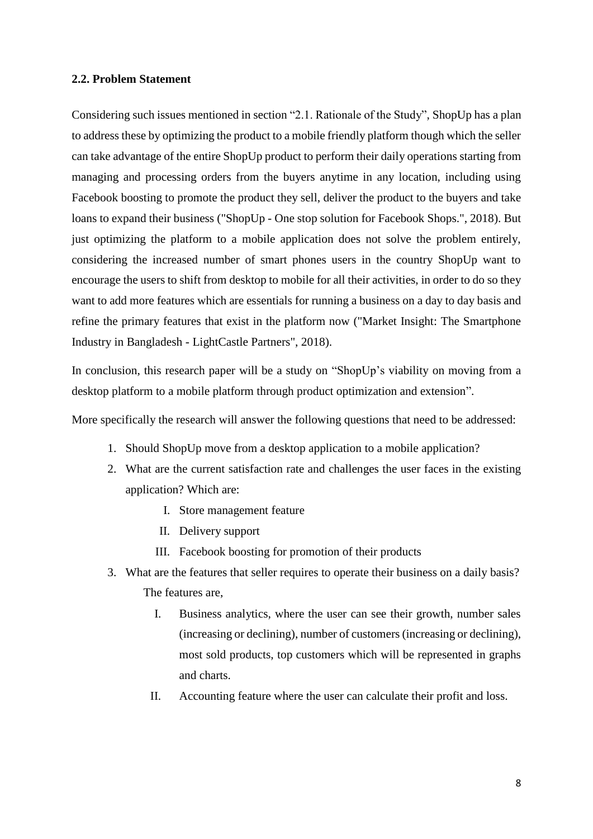#### <span id="page-15-0"></span>**2.2. Problem Statement**

Considering such issues mentioned in section "2.1. Rationale of the Study", ShopUp has a plan to address these by optimizing the product to a mobile friendly platform though which the seller can take advantage of the entire ShopUp product to perform their daily operations starting from managing and processing orders from the buyers anytime in any location, including using Facebook boosting to promote the product they sell, deliver the product to the buyers and take loans to expand their business ("ShopUp - One stop solution for Facebook Shops.", 2018). But just optimizing the platform to a mobile application does not solve the problem entirely, considering the increased number of smart phones users in the country ShopUp want to encourage the users to shift from desktop to mobile for all their activities, in order to do so they want to add more features which are essentials for running a business on a day to day basis and refine the primary features that exist in the platform now ("Market Insight: The Smartphone Industry in Bangladesh - LightCastle Partners", 2018).

In conclusion, this research paper will be a study on "ShopUp's viability on moving from a desktop platform to a mobile platform through product optimization and extension".

More specifically the research will answer the following questions that need to be addressed:

- 1. Should ShopUp move from a desktop application to a mobile application?
- 2. What are the current satisfaction rate and challenges the user faces in the existing application? Which are:
	- I. Store management feature
	- II. Delivery support
	- III. Facebook boosting for promotion of their products
- 3. What are the features that seller requires to operate their business on a daily basis? The features are,
	- I. Business analytics, where the user can see their growth, number sales (increasing or declining), number of customers (increasing or declining), most sold products, top customers which will be represented in graphs and charts.
	- II. Accounting feature where the user can calculate their profit and loss.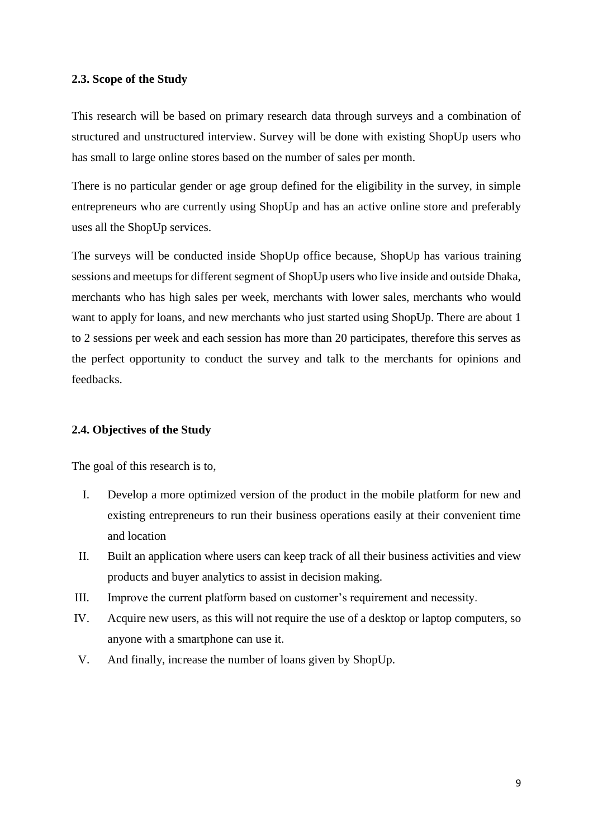#### <span id="page-16-0"></span>**2.3. Scope of the Study**

This research will be based on primary research data through surveys and a combination of structured and unstructured interview. Survey will be done with existing ShopUp users who has small to large online stores based on the number of sales per month.

There is no particular gender or age group defined for the eligibility in the survey, in simple entrepreneurs who are currently using ShopUp and has an active online store and preferably uses all the ShopUp services.

The surveys will be conducted inside ShopUp office because, ShopUp has various training sessions and meetups for different segment of ShopUp users who live inside and outside Dhaka, merchants who has high sales per week, merchants with lower sales, merchants who would want to apply for loans, and new merchants who just started using ShopUp. There are about 1 to 2 sessions per week and each session has more than 20 participates, therefore this serves as the perfect opportunity to conduct the survey and talk to the merchants for opinions and feedbacks.

#### <span id="page-16-1"></span>**2.4. Objectives of the Study**

The goal of this research is to,

- I. Develop a more optimized version of the product in the mobile platform for new and existing entrepreneurs to run their business operations easily at their convenient time and location
- II. Built an application where users can keep track of all their business activities and view products and buyer analytics to assist in decision making.
- III. Improve the current platform based on customer's requirement and necessity.
- IV. Acquire new users, as this will not require the use of a desktop or laptop computers, so anyone with a smartphone can use it.
- V. And finally, increase the number of loans given by ShopUp.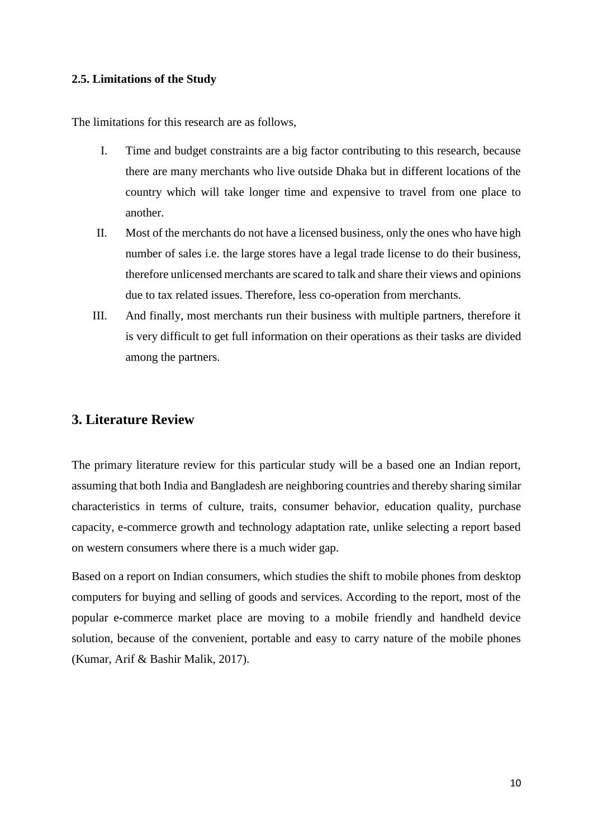#### <span id="page-17-0"></span>**2.5. Limitations of the Study**

The limitations for this research are as follows,

- I. Time and budget constraints are a big factor contributing to this research, because there are many merchants who live outside Dhaka but in different locations of the country which will take longer time and expensive to travel from one place to another.
- II. Most of the merchants do not have a licensed business, only the ones who have high number of sales i.e. the large stores have a legal trade license to do their business, therefore unlicensed merchants are scared to talk and share their views and opinions due to tax related issues. Therefore, less co-operation from merchants.
- III. And finally, most merchants run their business with multiple partners, therefore it is very difficult to get full information on their operations as their tasks are divided among the partners.

## <span id="page-17-1"></span>**3. Literature Review**

The primary literature review for this particular study will be a based one an Indian report, assuming that both India and Bangladesh are neighboring countries and thereby sharing similar characteristics in terms of culture, traits, consumer behavior, education quality, purchase capacity, e-commerce growth and technology adaptation rate, unlike selecting a report based on western consumers where there is a much wider gap.

Based on a report on Indian consumers, which studies the shift to mobile phones from desktop computers for buying and selling of goods and services. According to the report, most of the popular e-commerce market place are moving to a mobile friendly and handheld device solution, because of the convenient, portable and easy to carry nature of the mobile phones (Kumar, Arif & Bashir Malik, 2017).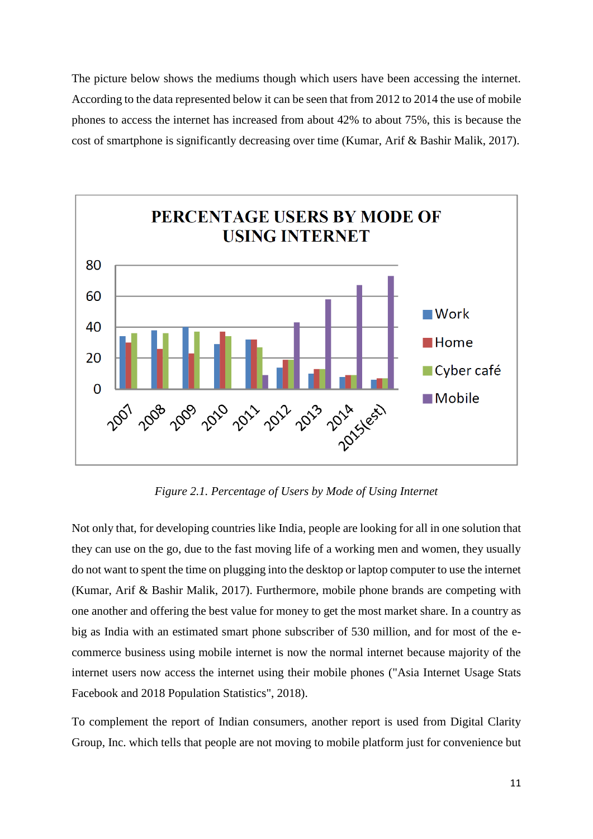The picture below shows the mediums though which users have been accessing the internet. According to the data represented below it can be seen that from 2012 to 2014 the use of mobile phones to access the internet has increased from about 42% to about 75%, this is because the cost of smartphone is significantly decreasing over time (Kumar, Arif & Bashir Malik, 2017).



*Figure 2.1. Percentage of Users by Mode of Using Internet*

<span id="page-18-0"></span>Not only that, for developing countries like India, people are looking for all in one solution that they can use on the go, due to the fast moving life of a working men and women, they usually do not want to spent the time on plugging into the desktop or laptop computer to use the internet (Kumar, Arif & Bashir Malik, 2017). Furthermore, mobile phone brands are competing with one another and offering the best value for money to get the most market share. In a country as big as India with an estimated smart phone subscriber of 530 million, and for most of the ecommerce business using mobile internet is now the normal internet because majority of the internet users now access the internet using their mobile phones ("Asia Internet Usage Stats Facebook and 2018 Population Statistics", 2018).

To complement the report of Indian consumers, another report is used from Digital Clarity Group, Inc. which tells that people are not moving to mobile platform just for convenience but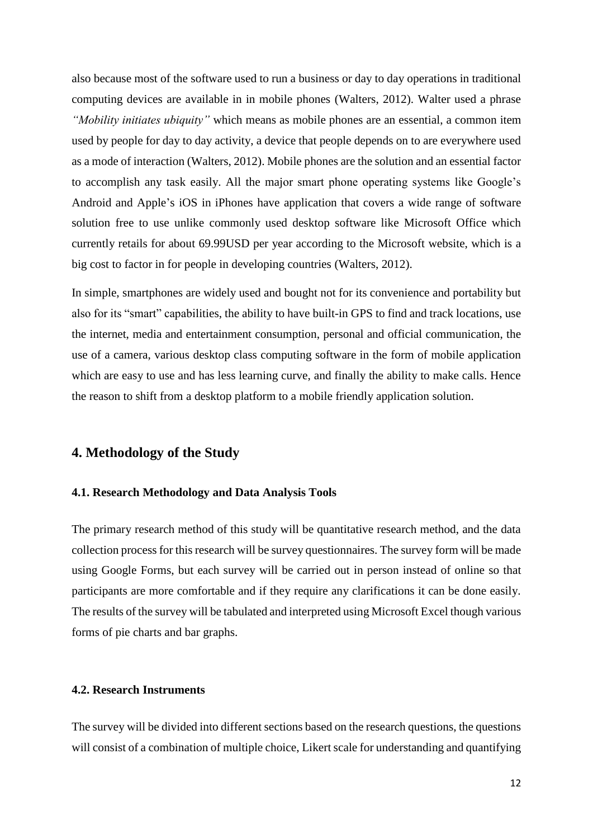also because most of the software used to run a business or day to day operations in traditional computing devices are available in in mobile phones (Walters, 2012). Walter used a phrase *"Mobility initiates ubiquity"* which means as mobile phones are an essential, a common item used by people for day to day activity, a device that people depends on to are everywhere used as a mode of interaction (Walters, 2012). Mobile phones are the solution and an essential factor to accomplish any task easily. All the major smart phone operating systems like Google's Android and Apple's iOS in iPhones have application that covers a wide range of software solution free to use unlike commonly used desktop software like Microsoft Office which currently retails for about 69.99USD per year according to the Microsoft website, which is a big cost to factor in for people in developing countries (Walters, 2012).

In simple, smartphones are widely used and bought not for its convenience and portability but also for its "smart" capabilities, the ability to have built-in GPS to find and track locations, use the internet, media and entertainment consumption, personal and official communication, the use of a camera, various desktop class computing software in the form of mobile application which are easy to use and has less learning curve, and finally the ability to make calls. Hence the reason to shift from a desktop platform to a mobile friendly application solution.

## <span id="page-19-0"></span>**4. Methodology of the Study**

#### <span id="page-19-1"></span>**4.1. Research Methodology and Data Analysis Tools**

The primary research method of this study will be quantitative research method, and the data collection process for this research will be survey questionnaires. The survey form will be made using Google Forms, but each survey will be carried out in person instead of online so that participants are more comfortable and if they require any clarifications it can be done easily. The results of the survey will be tabulated and interpreted using Microsoft Excel though various forms of pie charts and bar graphs.

#### <span id="page-19-2"></span>**4.2. Research Instruments**

The survey will be divided into different sections based on the research questions, the questions will consist of a combination of multiple choice, Likert scale for understanding and quantifying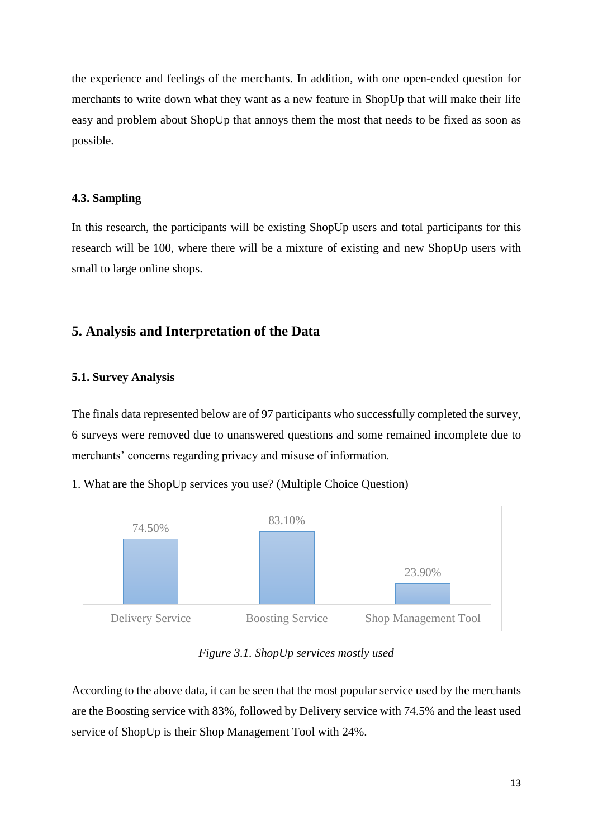the experience and feelings of the merchants. In addition, with one open-ended question for merchants to write down what they want as a new feature in ShopUp that will make their life easy and problem about ShopUp that annoys them the most that needs to be fixed as soon as possible.

#### <span id="page-20-0"></span>**4.3. Sampling**

In this research, the participants will be existing ShopUp users and total participants for this research will be 100, where there will be a mixture of existing and new ShopUp users with small to large online shops.

## <span id="page-20-1"></span>**5. Analysis and Interpretation of the Data**

#### <span id="page-20-2"></span>**5.1. Survey Analysis**

The finals data represented below are of 97 participants who successfully completed the survey, 6 surveys were removed due to unanswered questions and some remained incomplete due to merchants' concerns regarding privacy and misuse of information.

1. What are the ShopUp services you use? (Multiple Choice Question)



*Figure 3.1. ShopUp services mostly used*

<span id="page-20-3"></span>According to the above data, it can be seen that the most popular service used by the merchants are the Boosting service with 83%, followed by Delivery service with 74.5% and the least used service of ShopUp is their Shop Management Tool with 24%.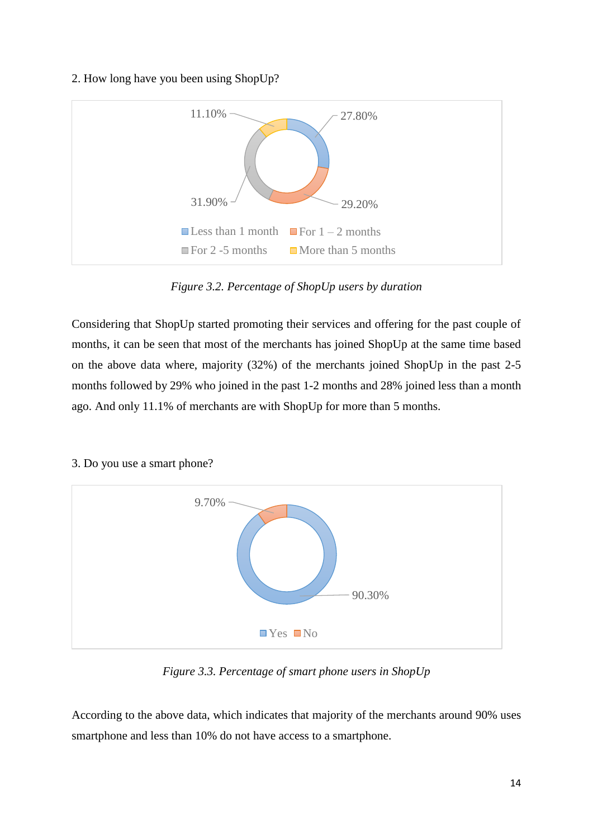#### 2. How long have you been using ShopUp?



*Figure 3.2. Percentage of ShopUp users by duration*

<span id="page-21-0"></span>Considering that ShopUp started promoting their services and offering for the past couple of months, it can be seen that most of the merchants has joined ShopUp at the same time based on the above data where, majority (32%) of the merchants joined ShopUp in the past 2-5 months followed by 29% who joined in the past 1-2 months and 28% joined less than a month ago. And only 11.1% of merchants are with ShopUp for more than 5 months.



#### 3. Do you use a smart phone?

*Figure 3.3. Percentage of smart phone users in ShopUp*

<span id="page-21-1"></span>According to the above data, which indicates that majority of the merchants around 90% uses smartphone and less than 10% do not have access to a smartphone.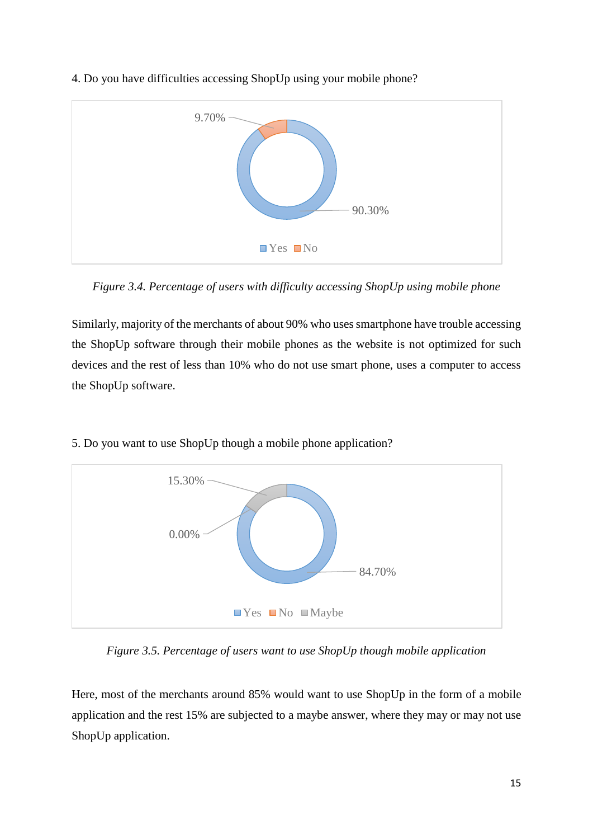

4. Do you have difficulties accessing ShopUp using your mobile phone?

<span id="page-22-0"></span>*Figure 3.4. Percentage of users with difficulty accessing ShopUp using mobile phone*

Similarly, majority of the merchants of about 90% who uses smartphone have trouble accessing the ShopUp software through their mobile phones as the website is not optimized for such devices and the rest of less than 10% who do not use smart phone, uses a computer to access the ShopUp software.



5. Do you want to use ShopUp though a mobile phone application?

<span id="page-22-1"></span>*Figure 3.5. Percentage of users want to use ShopUp though mobile application*

Here, most of the merchants around 85% would want to use ShopUp in the form of a mobile application and the rest 15% are subjected to a maybe answer, where they may or may not use ShopUp application.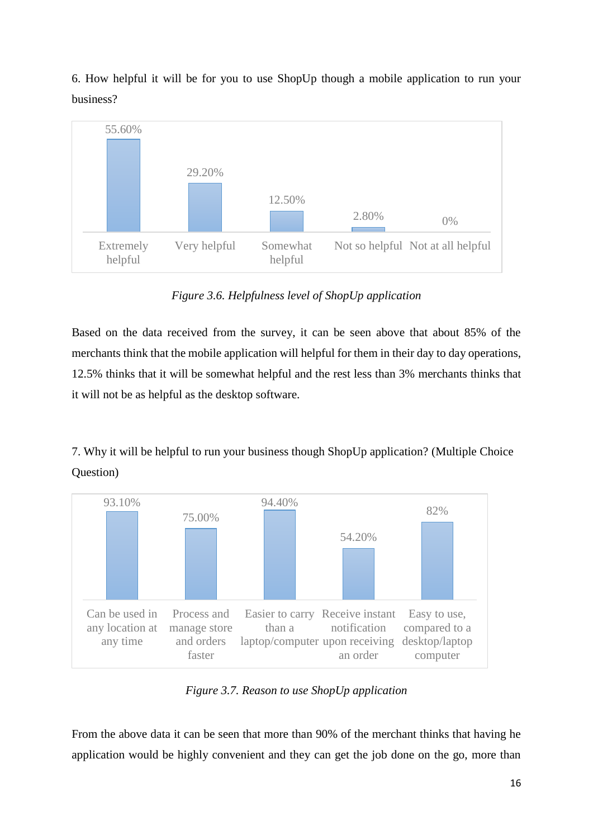6. How helpful it will be for you to use ShopUp though a mobile application to run your business?



*Figure 3.6. Helpfulness level of ShopUp application*

<span id="page-23-0"></span>Based on the data received from the survey, it can be seen above that about 85% of the merchants think that the mobile application will helpful for them in their day to day operations, 12.5% thinks that it will be somewhat helpful and the rest less than 3% merchants thinks that it will not be as helpful as the desktop software.

7. Why it will be helpful to run your business though ShopUp application? (Multiple Choice Question)



*Figure 3.7. Reason to use ShopUp application*

<span id="page-23-1"></span>From the above data it can be seen that more than 90% of the merchant thinks that having he application would be highly convenient and they can get the job done on the go, more than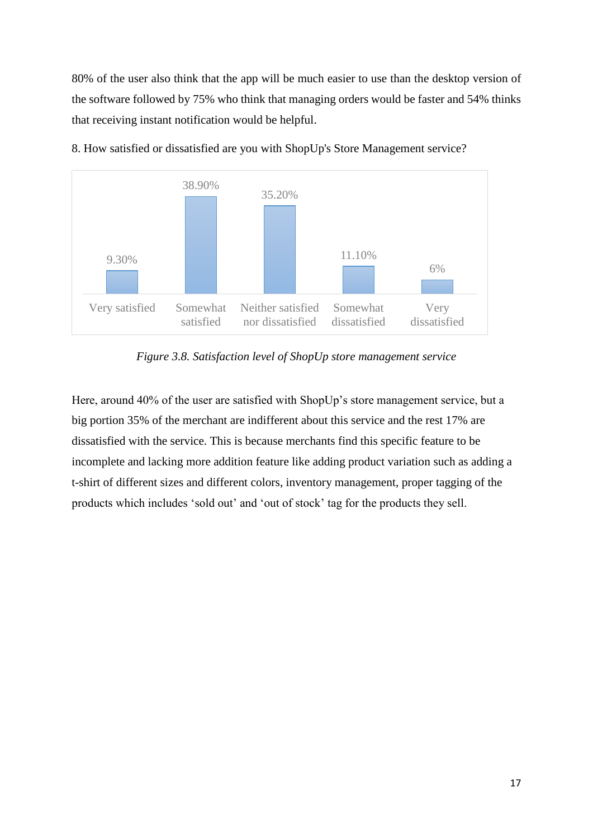80% of the user also think that the app will be much easier to use than the desktop version of the software followed by 75% who think that managing orders would be faster and 54% thinks that receiving instant notification would be helpful.



8. How satisfied or dissatisfied are you with ShopUp's Store Management service?

*Figure 3.8. Satisfaction level of ShopUp store management service*

<span id="page-24-0"></span>Here, around 40% of the user are satisfied with ShopUp's store management service, but a big portion 35% of the merchant are indifferent about this service and the rest 17% are dissatisfied with the service. This is because merchants find this specific feature to be incomplete and lacking more addition feature like adding product variation such as adding a t-shirt of different sizes and different colors, inventory management, proper tagging of the products which includes 'sold out' and 'out of stock' tag for the products they sell.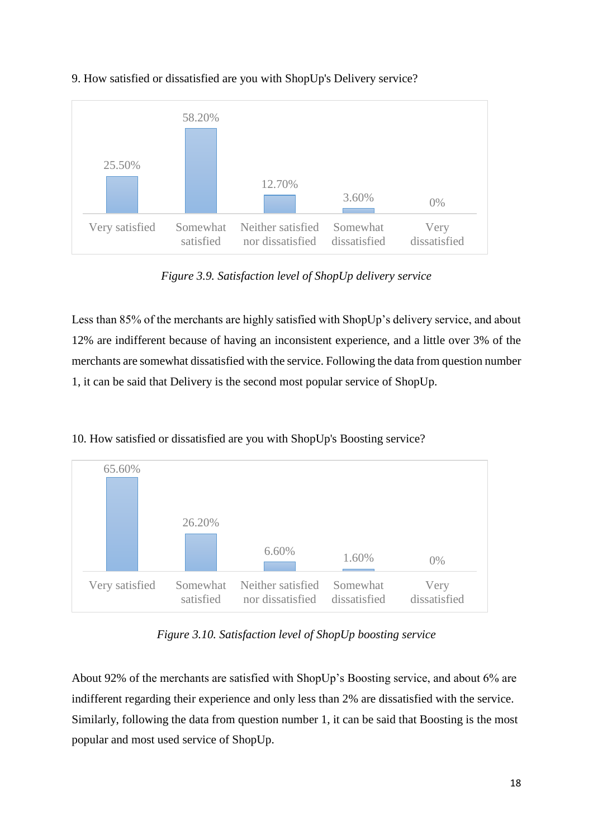

## 9. How satisfied or dissatisfied are you with ShopUp's Delivery service?

*Figure 3.9. Satisfaction level of ShopUp delivery service*

<span id="page-25-0"></span>Less than 85% of the merchants are highly satisfied with ShopUp's delivery service, and about 12% are indifferent because of having an inconsistent experience, and a little over 3% of the merchants are somewhat dissatisfied with the service. Following the data from question number 1, it can be said that Delivery is the second most popular service of ShopUp.





*Figure 3.10. Satisfaction level of ShopUp boosting service*

<span id="page-25-1"></span>About 92% of the merchants are satisfied with ShopUp's Boosting service, and about 6% are indifferent regarding their experience and only less than 2% are dissatisfied with the service. Similarly, following the data from question number 1, it can be said that Boosting is the most popular and most used service of ShopUp.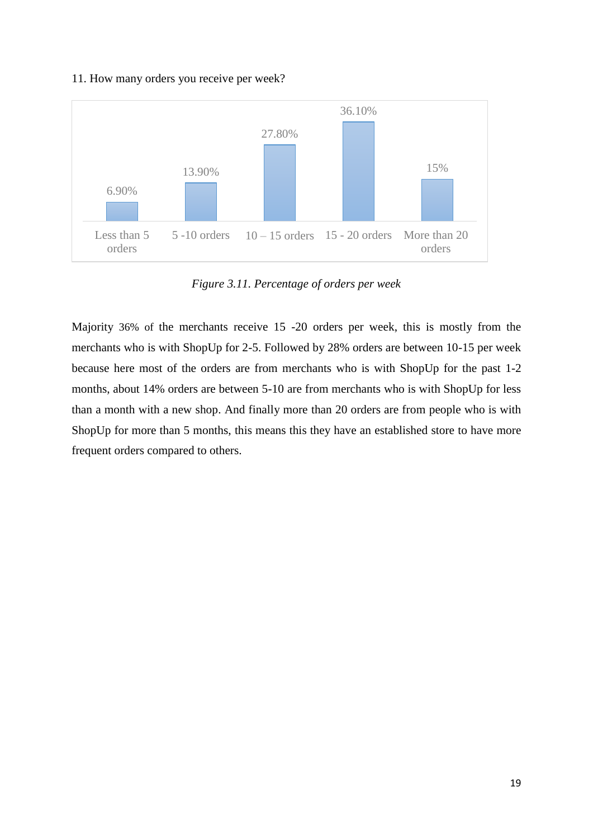#### 11. How many orders you receive per week?



*Figure 3.11. Percentage of orders per week*

<span id="page-26-0"></span>Majority 36% of the merchants receive 15 -20 orders per week, this is mostly from the merchants who is with ShopUp for 2-5. Followed by 28% orders are between 10-15 per week because here most of the orders are from merchants who is with ShopUp for the past 1-2 months, about 14% orders are between 5-10 are from merchants who is with ShopUp for less than a month with a new shop. And finally more than 20 orders are from people who is with ShopUp for more than 5 months, this means this they have an established store to have more frequent orders compared to others.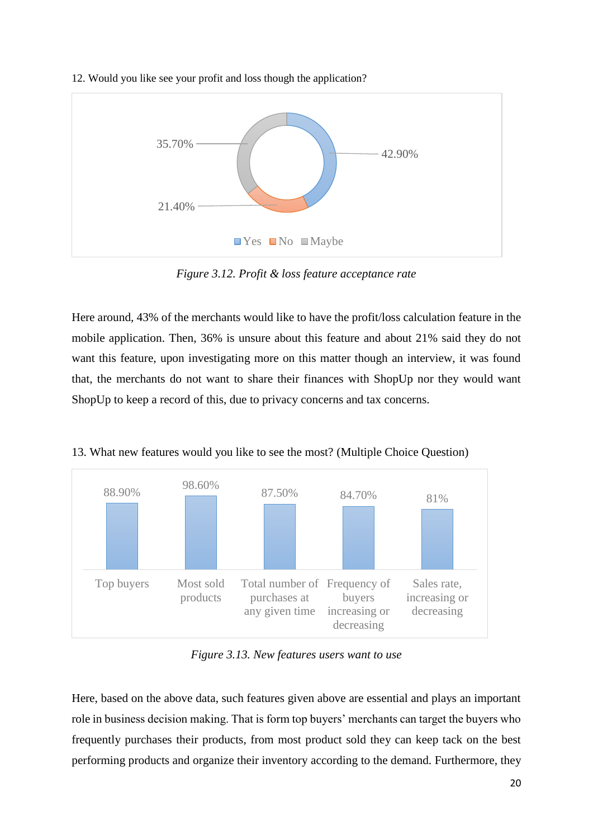



*Figure 3.12. Profit & loss feature acceptance rate*

<span id="page-27-0"></span>Here around, 43% of the merchants would like to have the profit/loss calculation feature in the mobile application. Then, 36% is unsure about this feature and about 21% said they do not want this feature, upon investigating more on this matter though an interview, it was found that, the merchants do not want to share their finances with ShopUp nor they would want ShopUp to keep a record of this, due to privacy concerns and tax concerns.



13. What new features would you like to see the most? (Multiple Choice Question)

*Figure 3.13. New features users want to use*

<span id="page-27-1"></span>Here, based on the above data, such features given above are essential and plays an important role in business decision making. That is form top buyers' merchants can target the buyers who frequently purchases their products, from most product sold they can keep tack on the best performing products and organize their inventory according to the demand. Furthermore, they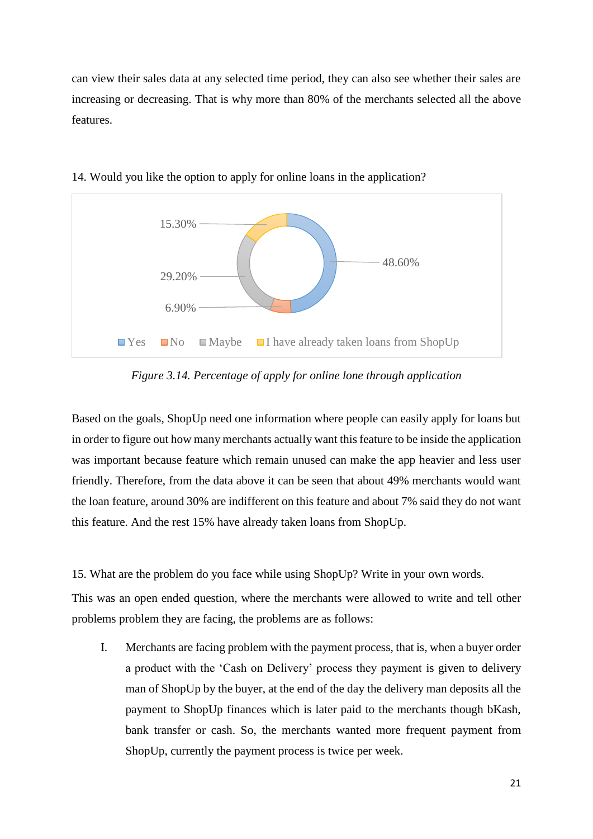can view their sales data at any selected time period, they can also see whether their sales are increasing or decreasing. That is why more than 80% of the merchants selected all the above features.



14. Would you like the option to apply for online loans in the application?

*Figure 3.14. Percentage of apply for online lone through application*

<span id="page-28-0"></span>Based on the goals, ShopUp need one information where people can easily apply for loans but in order to figure out how many merchants actually want this feature to be inside the application was important because feature which remain unused can make the app heavier and less user friendly. Therefore, from the data above it can be seen that about 49% merchants would want the loan feature, around 30% are indifferent on this feature and about 7% said they do not want this feature. And the rest 15% have already taken loans from ShopUp.

15. What are the problem do you face while using ShopUp? Write in your own words.

This was an open ended question, where the merchants were allowed to write and tell other problems problem they are facing, the problems are as follows:

I. Merchants are facing problem with the payment process, that is, when a buyer order a product with the 'Cash on Delivery' process they payment is given to delivery man of ShopUp by the buyer, at the end of the day the delivery man deposits all the payment to ShopUp finances which is later paid to the merchants though bKash, bank transfer or cash. So, the merchants wanted more frequent payment from ShopUp, currently the payment process is twice per week.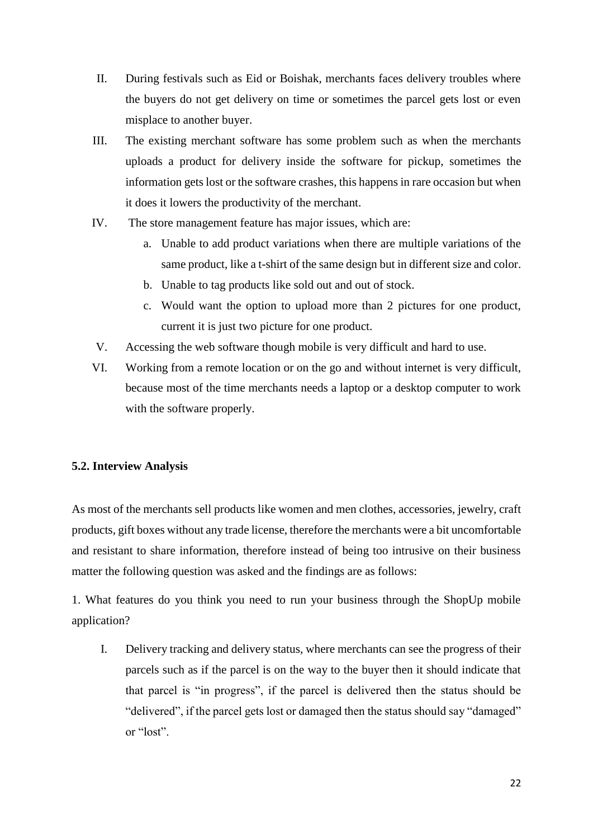- II. During festivals such as Eid or Boishak, merchants faces delivery troubles where the buyers do not get delivery on time or sometimes the parcel gets lost or even misplace to another buyer.
- III. The existing merchant software has some problem such as when the merchants uploads a product for delivery inside the software for pickup, sometimes the information gets lost or the software crashes, this happens in rare occasion but when it does it lowers the productivity of the merchant.
- IV. The store management feature has major issues, which are:
	- a. Unable to add product variations when there are multiple variations of the same product, like a t-shirt of the same design but in different size and color.
	- b. Unable to tag products like sold out and out of stock.
	- c. Would want the option to upload more than 2 pictures for one product, current it is just two picture for one product.
- V. Accessing the web software though mobile is very difficult and hard to use.
- VI. Working from a remote location or on the go and without internet is very difficult, because most of the time merchants needs a laptop or a desktop computer to work with the software properly.

## <span id="page-29-0"></span>**5.2. Interview Analysis**

As most of the merchants sell products like women and men clothes, accessories, jewelry, craft products, gift boxes without any trade license, therefore the merchants were a bit uncomfortable and resistant to share information, therefore instead of being too intrusive on their business matter the following question was asked and the findings are as follows:

1. What features do you think you need to run your business through the ShopUp mobile application?

I. Delivery tracking and delivery status, where merchants can see the progress of their parcels such as if the parcel is on the way to the buyer then it should indicate that that parcel is "in progress", if the parcel is delivered then the status should be "delivered", if the parcel gets lost or damaged then the status should say "damaged" or "lost".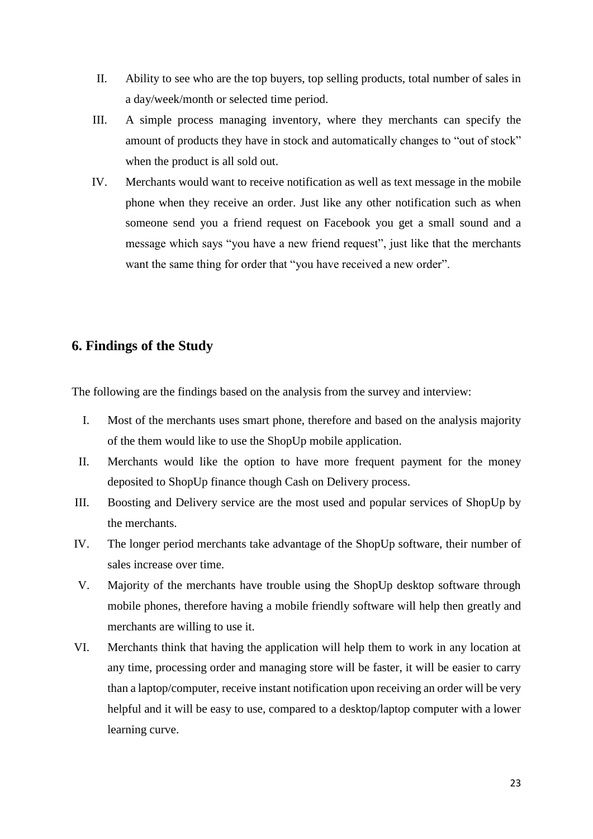- II. Ability to see who are the top buyers, top selling products, total number of sales in a day/week/month or selected time period.
- III. A simple process managing inventory, where they merchants can specify the amount of products they have in stock and automatically changes to "out of stock" when the product is all sold out.
- IV. Merchants would want to receive notification as well as text message in the mobile phone when they receive an order. Just like any other notification such as when someone send you a friend request on Facebook you get a small sound and a message which says "you have a new friend request", just like that the merchants want the same thing for order that "you have received a new order".

## <span id="page-30-0"></span>**6. Findings of the Study**

The following are the findings based on the analysis from the survey and interview:

- I. Most of the merchants uses smart phone, therefore and based on the analysis majority of the them would like to use the ShopUp mobile application.
- II. Merchants would like the option to have more frequent payment for the money deposited to ShopUp finance though Cash on Delivery process.
- III. Boosting and Delivery service are the most used and popular services of ShopUp by the merchants.
- IV. The longer period merchants take advantage of the ShopUp software, their number of sales increase over time.
- V. Majority of the merchants have trouble using the ShopUp desktop software through mobile phones, therefore having a mobile friendly software will help then greatly and merchants are willing to use it.
- VI. Merchants think that having the application will help them to work in any location at any time, processing order and managing store will be faster, it will be easier to carry than a laptop/computer, receive instant notification upon receiving an order will be very helpful and it will be easy to use, compared to a desktop/laptop computer with a lower learning curve.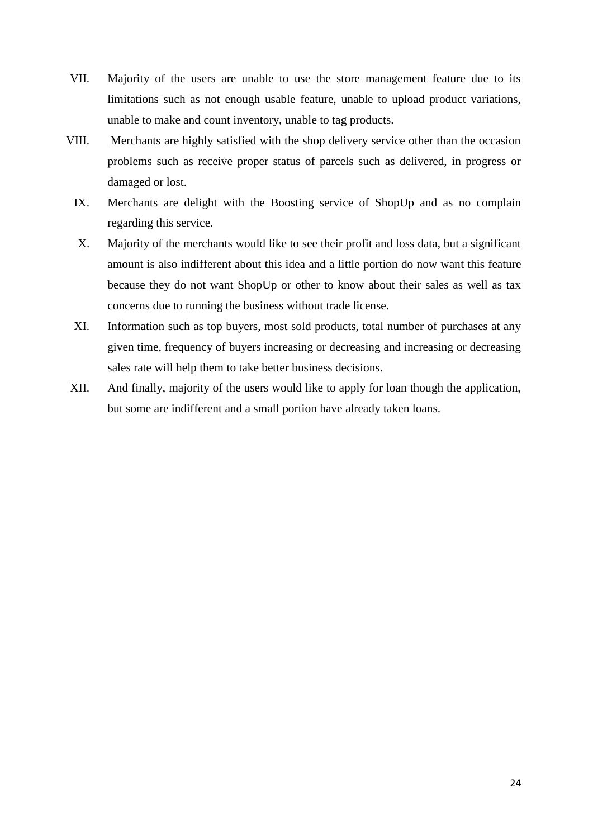- VII. Majority of the users are unable to use the store management feature due to its limitations such as not enough usable feature, unable to upload product variations, unable to make and count inventory, unable to tag products.
- VIII. Merchants are highly satisfied with the shop delivery service other than the occasion problems such as receive proper status of parcels such as delivered, in progress or damaged or lost.
	- IX. Merchants are delight with the Boosting service of ShopUp and as no complain regarding this service.
	- X. Majority of the merchants would like to see their profit and loss data, but a significant amount is also indifferent about this idea and a little portion do now want this feature because they do not want ShopUp or other to know about their sales as well as tax concerns due to running the business without trade license.
	- XI. Information such as top buyers, most sold products, total number of purchases at any given time, frequency of buyers increasing or decreasing and increasing or decreasing sales rate will help them to take better business decisions.
- XII. And finally, majority of the users would like to apply for loan though the application, but some are indifferent and a small portion have already taken loans.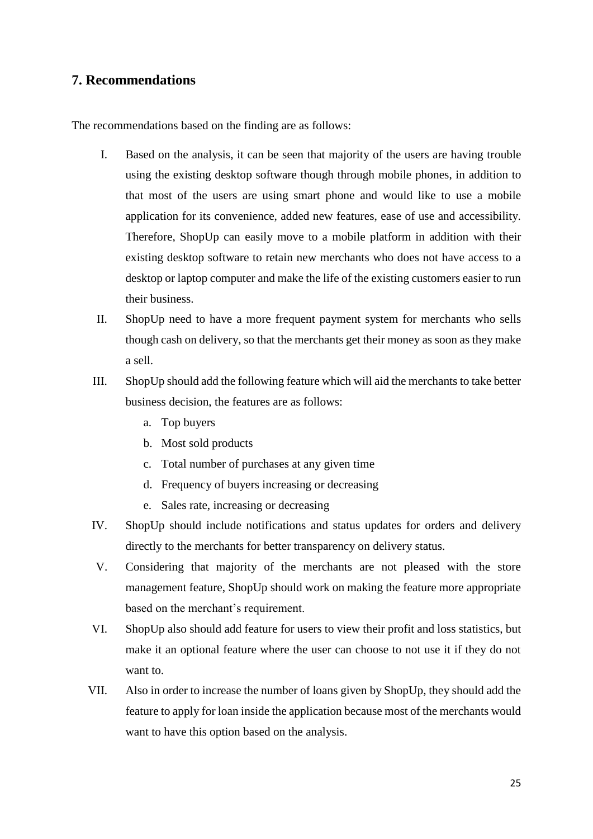## <span id="page-32-0"></span>**7. Recommendations**

The recommendations based on the finding are as follows:

- I. Based on the analysis, it can be seen that majority of the users are having trouble using the existing desktop software though through mobile phones, in addition to that most of the users are using smart phone and would like to use a mobile application for its convenience, added new features, ease of use and accessibility. Therefore, ShopUp can easily move to a mobile platform in addition with their existing desktop software to retain new merchants who does not have access to a desktop or laptop computer and make the life of the existing customers easier to run their business.
- II. ShopUp need to have a more frequent payment system for merchants who sells though cash on delivery, so that the merchants get their money as soon as they make a sell.
- III. ShopUp should add the following feature which will aid the merchants to take better business decision, the features are as follows:
	- a. Top buyers
	- b. Most sold products
	- c. Total number of purchases at any given time
	- d. Frequency of buyers increasing or decreasing
	- e. Sales rate, increasing or decreasing
- IV. ShopUp should include notifications and status updates for orders and delivery directly to the merchants for better transparency on delivery status.
- V. Considering that majority of the merchants are not pleased with the store management feature, ShopUp should work on making the feature more appropriate based on the merchant's requirement.
- VI. ShopUp also should add feature for users to view their profit and loss statistics, but make it an optional feature where the user can choose to not use it if they do not want to.
- VII. Also in order to increase the number of loans given by ShopUp, they should add the feature to apply for loan inside the application because most of the merchants would want to have this option based on the analysis.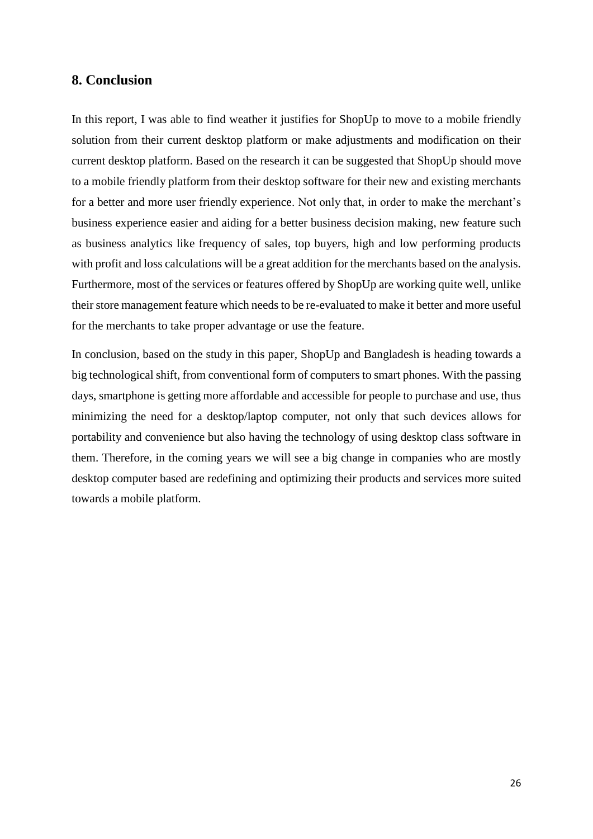## <span id="page-33-0"></span>**8. Conclusion**

In this report, I was able to find weather it justifies for ShopUp to move to a mobile friendly solution from their current desktop platform or make adjustments and modification on their current desktop platform. Based on the research it can be suggested that ShopUp should move to a mobile friendly platform from their desktop software for their new and existing merchants for a better and more user friendly experience. Not only that, in order to make the merchant's business experience easier and aiding for a better business decision making, new feature such as business analytics like frequency of sales, top buyers, high and low performing products with profit and loss calculations will be a great addition for the merchants based on the analysis. Furthermore, most of the services or features offered by ShopUp are working quite well, unlike their store management feature which needs to be re-evaluated to make it better and more useful for the merchants to take proper advantage or use the feature.

In conclusion, based on the study in this paper, ShopUp and Bangladesh is heading towards a big technological shift, from conventional form of computers to smart phones. With the passing days, smartphone is getting more affordable and accessible for people to purchase and use, thus minimizing the need for a desktop/laptop computer, not only that such devices allows for portability and convenience but also having the technology of using desktop class software in them. Therefore, in the coming years we will see a big change in companies who are mostly desktop computer based are redefining and optimizing their products and services more suited towards a mobile platform.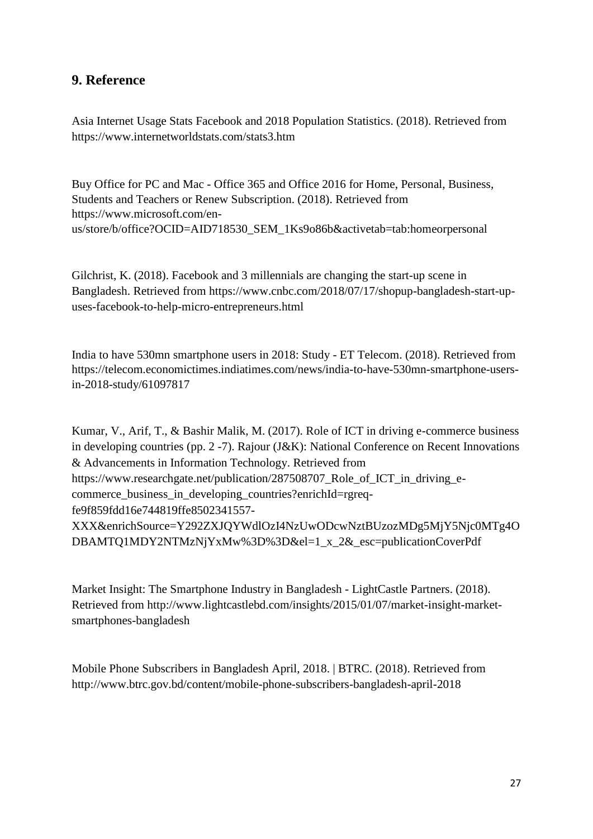# <span id="page-34-0"></span>**9. Reference**

Asia Internet Usage Stats Facebook and 2018 Population Statistics. (2018). Retrieved from <https://www.internetworldstats.com/stats3.htm>

Buy Office for PC and Mac - Office 365 and Office 2016 for Home, Personal, Business, Students and Teachers or Renew Subscription. (2018). Retrieved from [https://www.microsoft.com/en](https://www.microsoft.com/en-us/store/b/office?OCID=AID718530_SEM_1Ks9o86b&activetab=tab:homeorpersonal)[us/store/b/office?OCID=AID718530\\_SEM\\_1Ks9o86b&activetab=tab:homeorpersonal](https://www.microsoft.com/en-us/store/b/office?OCID=AID718530_SEM_1Ks9o86b&activetab=tab:homeorpersonal)

Gilchrist, K. (2018). Facebook and 3 millennials are changing the start-up scene in Bangladesh. Retrieved from [https://www.cnbc.com/2018/07/17/shopup-bangladesh-start-up](https://www.cnbc.com/2018/07/17/shopup-bangladesh-start-up-uses-facebook-to-help-micro-entrepreneurs.html)[uses-facebook-to-help-micro-entrepreneurs.html](https://www.cnbc.com/2018/07/17/shopup-bangladesh-start-up-uses-facebook-to-help-micro-entrepreneurs.html)

India to have 530mn smartphone users in 2018: Study - ET Telecom. (2018). Retrieved from [https://telecom.economictimes.indiatimes.com/news/india-to-have-530mn-smartphone-users](https://telecom.economictimes.indiatimes.com/news/india-to-have-530mn-smartphone-users-in-2018-study/61097817)[in-2018-study/61097817](https://telecom.economictimes.indiatimes.com/news/india-to-have-530mn-smartphone-users-in-2018-study/61097817)

Kumar, V., Arif, T., & Bashir Malik, M. (2017). Role of ICT in driving e-commerce business in developing countries (pp. 2 -7). Rajour (J&K): National Conference on Recent Innovations & Advancements in Information Technology. Retrieved from [https://www.researchgate.net/publication/287508707\\_Role\\_of\\_ICT\\_in\\_driving\\_e](https://www.researchgate.net/publication/287508707_Role_of_ICT_in_driving_e-commerce_business_in_developing_countries?enrichId=rgreq-fe9f859fdd16e744819ffe8502341557-XXX&enrichSource=Y292ZXJQYWdlOzI4NzUwODcwNztBUzozMDg5MjY5Njc0MTg4ODBAMTQ1MDY2NTMzNjYxMw%3D%3D&el=1_x_2&_esc=publicationCoverPdf)commerce business in developing countries?enrichId=rgreq[fe9f859fdd16e744819ffe8502341557-](https://www.researchgate.net/publication/287508707_Role_of_ICT_in_driving_e-commerce_business_in_developing_countries?enrichId=rgreq-fe9f859fdd16e744819ffe8502341557-XXX&enrichSource=Y292ZXJQYWdlOzI4NzUwODcwNztBUzozMDg5MjY5Njc0MTg4ODBAMTQ1MDY2NTMzNjYxMw%3D%3D&el=1_x_2&_esc=publicationCoverPdf) [XXX&enrichSource=Y292ZXJQYWdlOzI4NzUwODcwNztBUzozMDg5MjY5Njc0MTg4O](https://www.researchgate.net/publication/287508707_Role_of_ICT_in_driving_e-commerce_business_in_developing_countries?enrichId=rgreq-fe9f859fdd16e744819ffe8502341557-XXX&enrichSource=Y292ZXJQYWdlOzI4NzUwODcwNztBUzozMDg5MjY5Njc0MTg4ODBAMTQ1MDY2NTMzNjYxMw%3D%3D&el=1_x_2&_esc=publicationCoverPdf) [DBAMTQ1MDY2NTMzNjYxMw%3D%3D&el=1\\_x\\_2&\\_esc=publicationCoverPdf](https://www.researchgate.net/publication/287508707_Role_of_ICT_in_driving_e-commerce_business_in_developing_countries?enrichId=rgreq-fe9f859fdd16e744819ffe8502341557-XXX&enrichSource=Y292ZXJQYWdlOzI4NzUwODcwNztBUzozMDg5MjY5Njc0MTg4ODBAMTQ1MDY2NTMzNjYxMw%3D%3D&el=1_x_2&_esc=publicationCoverPdf)

Market Insight: The Smartphone Industry in Bangladesh - LightCastle Partners. (2018). Retrieved from [http://www.lightcastlebd.com/insights/2015/01/07/market-insight-market](http://www.lightcastlebd.com/insights/2015/01/07/market-insight-market-smartphones-bangladesh)[smartphones-bangladesh](http://www.lightcastlebd.com/insights/2015/01/07/market-insight-market-smartphones-bangladesh)

Mobile Phone Subscribers in Bangladesh April, 2018. | BTRC. (2018). Retrieved from <http://www.btrc.gov.bd/content/mobile-phone-subscribers-bangladesh-april-2018>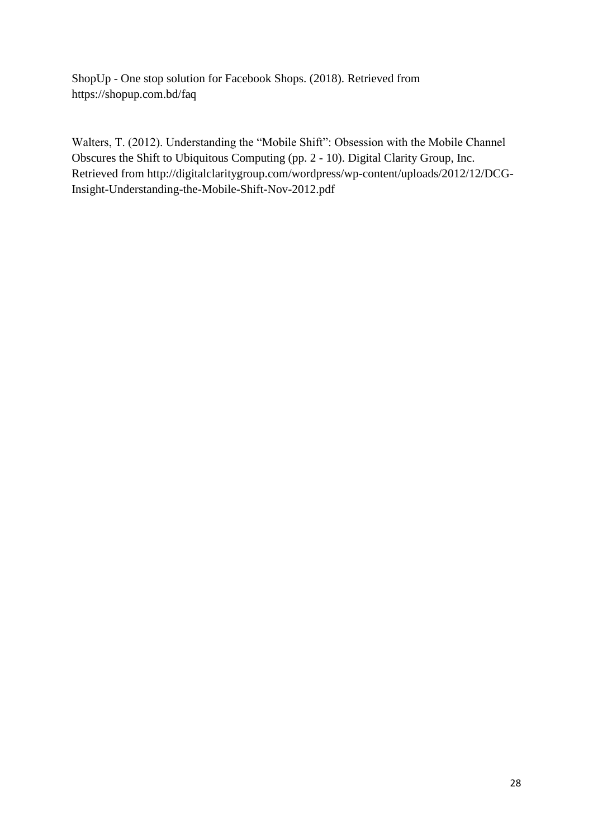ShopUp - One stop solution for Facebook Shops. (2018). Retrieved from <https://shopup.com.bd/faq>

Walters, T. (2012). Understanding the "Mobile Shift": Obsession with the Mobile Channel Obscures the Shift to Ubiquitous Computing (pp. 2 - 10). Digital Clarity Group, Inc. Retrieved from [http://digitalclaritygroup.com/wordpress/wp-content/uploads/2012/12/DCG-](http://digitalclaritygroup.com/wordpress/wp-content/uploads/2012/12/DCG-Insight-Understanding-the-Mobile-Shift-Nov-2012.pdf)[Insight-Understanding-the-Mobile-Shift-Nov-2012.pdf](http://digitalclaritygroup.com/wordpress/wp-content/uploads/2012/12/DCG-Insight-Understanding-the-Mobile-Shift-Nov-2012.pdf)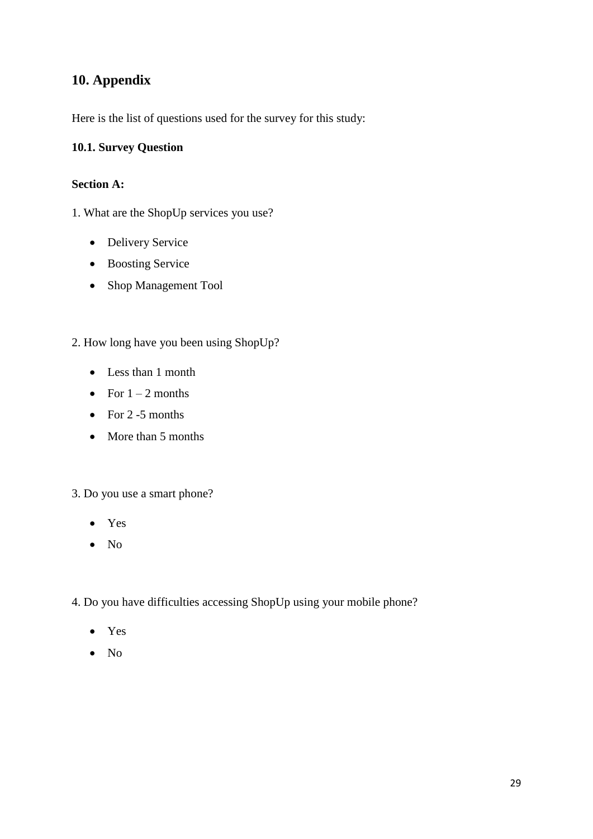# <span id="page-36-0"></span>**10. Appendix**

Here is the list of questions used for the survey for this study:

#### <span id="page-36-1"></span>**10.1. Survey Question**

#### **Section A:**

1. What are the ShopUp services you use?

- Delivery Service
- Boosting Service
- Shop Management Tool
- 2. How long have you been using ShopUp?
	- Less than 1 month
	- For  $1 2$  months
	- For  $2 5$  months
	- More than 5 months

#### 3. Do you use a smart phone?

- Yes
- No
- 4. Do you have difficulties accessing ShopUp using your mobile phone?
	- Yes
	- $\bullet$  No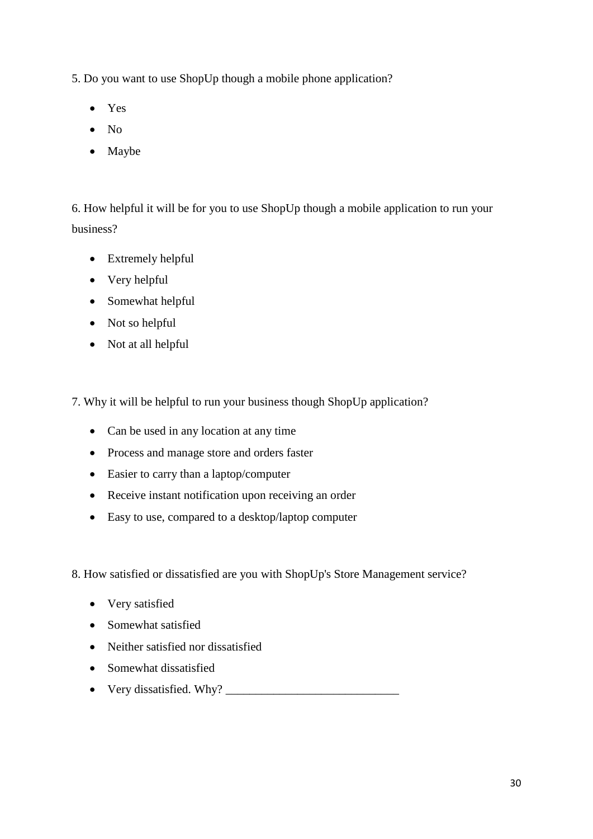5. Do you want to use ShopUp though a mobile phone application?

- Yes
- $\bullet$  No
- Maybe

6. How helpful it will be for you to use ShopUp though a mobile application to run your business?

- Extremely helpful
- Very helpful
- Somewhat helpful
- Not so helpful
- Not at all helpful

7. Why it will be helpful to run your business though ShopUp application?

- Can be used in any location at any time
- Process and manage store and orders faster
- Easier to carry than a laptop/computer
- Receive instant notification upon receiving an order
- Easy to use, compared to a desktop/laptop computer

8. How satisfied or dissatisfied are you with ShopUp's Store Management service?

- Very satisfied
- Somewhat satisfied
- Neither satisfied nor dissatisfied
- Somewhat dissatisfied
- Very dissatisfied. Why? \_\_\_\_\_\_\_\_\_\_\_\_\_\_\_\_\_\_\_\_\_\_\_\_\_\_\_\_\_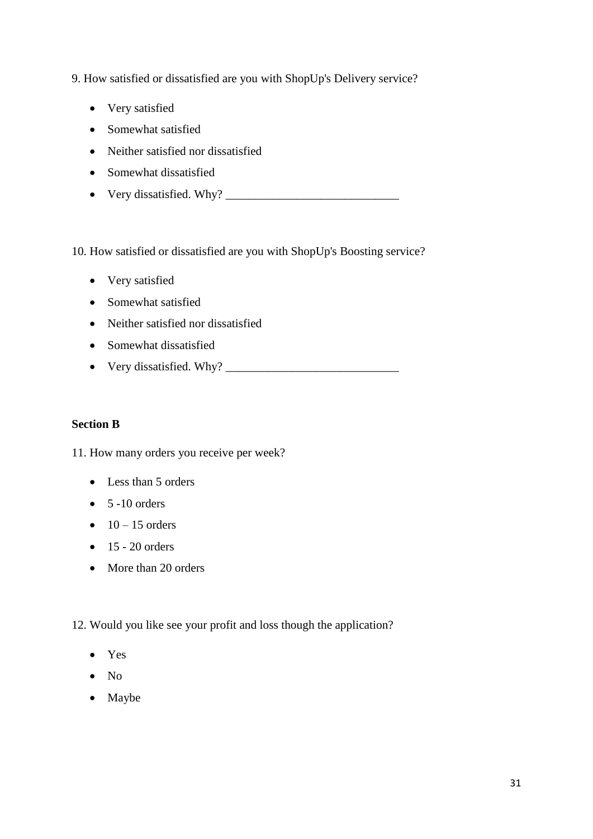9. How satisfied or dissatisfied are you with ShopUp's Delivery service?

- Very satisfied
- Somewhat satisfied
- Neither satisfied nor dissatisfied
- Somewhat dissatisfied
- Very dissatisfied. Why? \_\_\_\_\_\_\_\_\_\_\_\_\_\_\_\_\_\_\_\_\_\_\_\_\_\_\_\_\_

10. How satisfied or dissatisfied are you with ShopUp's Boosting service?

- Very satisfied
- Somewhat satisfied
- Neither satisfied nor dissatisfied
- Somewhat dissatisfied
- Very dissatisfied. Why? \_\_\_\_\_\_\_\_\_\_\_\_\_\_\_\_\_\_\_\_\_\_\_\_\_\_\_\_\_

#### **Section B**

11. How many orders you receive per week?

- Less than 5 orders
- $\bullet$  5 -10 orders
- $\bullet$  10 15 orders
- $\bullet$  15 20 orders
- More than 20 orders
- 12. Would you like see your profit and loss though the application?
	- Yes
	- $\bullet$  No
	- Maybe